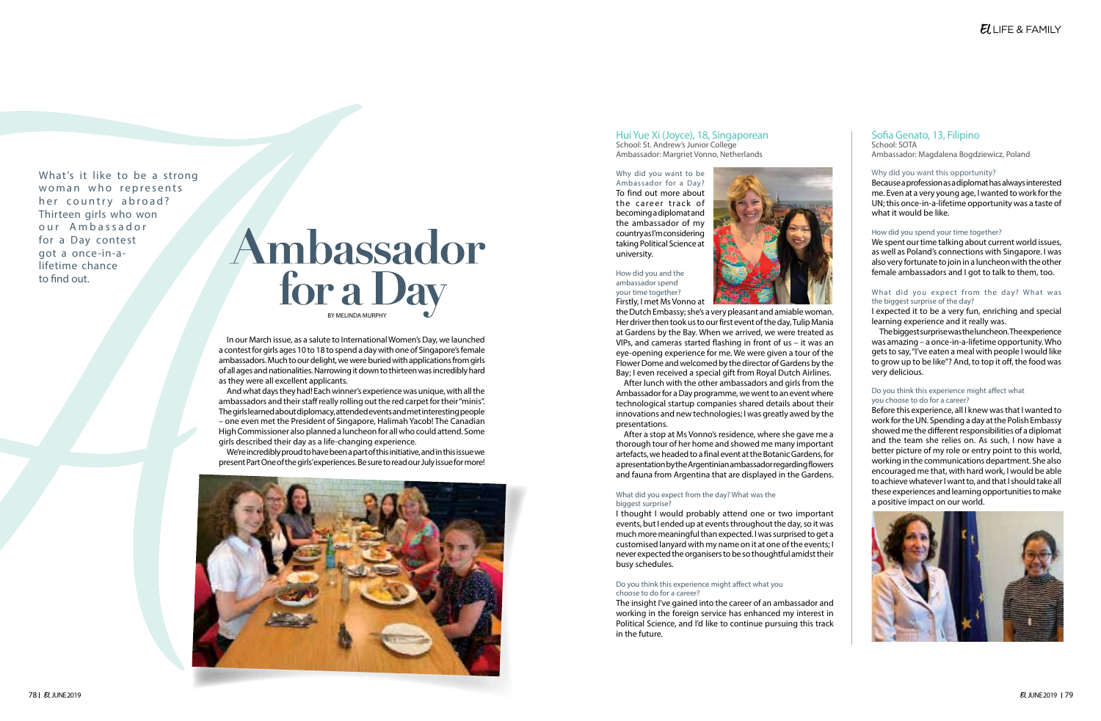# Ambassador for a Day BY MELINDA MURPHY

In our March issue, as a salute to International Women's Day, we launched a contest for girls ages 10 to 18 to spend a day with one of Singapore's female ambassadors. Much to our delight, we were buried with applications from girls of all ages and nationalities. Narrowing it down to thirteen was incredibly hard as they were all excellent applicants.

And what days they had! Each winner's experience was unique, with all the ambassadors and their staff really rolling out the red carpet for their "minis". The girls learned about diplomacy, attended events and met interesting people – one even met the President of Singapore, Halimah Yacob! The Canadian High Commissioner also planned a luncheon for all who could attend. Some girls described their day as a life-changing experience.

We're incredibly proud to have been a part of this initiative, and in this issue we present Part One of the girls' experiences. Be sure to read our July issue for more!



## Hui Yue Xi (Joyce), 18, Singaporean School: St. Andrew's Junior College

Ambassador: Margriet Vonno, Netherlands

Why did you want to be Ambassador for a Day? To find out more about the career track of becoming a diplomat and the ambassador of my country as I'm considering taking Political Science at university.



#### How did you and the ambassador spend your time together? Firstly, I met Ms Vonno at

the Dutch Embassy; she's a very pleasant and amiable woman. Her driver then took us to our first event of the day, Tulip Mania at Gardens by the Bay. When we arrived, we were treated as VIPs, and cameras started flashing in front of us – it was an eye-opening experience for me. We were given a tour of the Flower Dome and welcomed by the director of Gardens by the Bay; I even received a special gift from Royal Dutch Airlines.

## What did you expect from the day? What was the biggest surprise of the day?

After lunch with the other ambassadors and girls from the Ambassador for a Day programme, we went to an event where technological startup companies shared details about their innovations and new technologies; I was greatly awed by the presentations.

After a stop at Ms Vonno's residence, where she gave me a thorough tour of her home and showed me many important artefacts, we headed to a final event at the Botanic Gardens, for a presentation by the Argentinian ambassador regarding flowers and fauna from Argentina that are displayed in the Gardens.

## What did you expect from the day? What was the biggest surprise?

I thought I would probably attend one or two important events, but I ended up at events throughout the day, so it was much more meaningful than expected. I was surprised to get a customised lanyard with my name on it at one of the events; I never expected the organisers to be so thoughtful amidst their busy schedules.

## Do you think this experience might affect what you choose to do for a career?

The insight I've gained into the career of an ambassador and working in the foreign service has enhanced my interest in Political Science, and I'd like to continue pursuing this track in the future.

What's it like to be a strong woman who represents her country abroad? Thirteen girls who won our Ambassador for a Day contest got a once-in-alifetime chance to find out.

# Sofia Genato, 13, Filipino

School: SOTA Ambassador: Magdalena Bogdziewicz, Poland

## Why did you want this opportunity?

Because a profession as a diplomat has always interested me. Even at a very young age, I wanted to work for the UN; this once-in-a-lifetime opportunity was a taste of what it would be like.

## How did you spend your time together?

We spent our time talking about current world issues, as well as Poland's connections with Singapore. I was also very fortunate to join in a luncheon with the other female ambassadors and I got to talk to them, too.

I expected it to be a very fun, enriching and special learning experience and it really was.

The biggest surprise was the luncheon. The experience was amazing – a once-in-a-lifetime opportunity. Who gets to say, "I've eaten a meal with people I would like to grow up to be like"? And, to top it off, the food was very delicious.

## Do you think this experience might affect what you choose to do for a career?

Before this experience, all I knew was that I wanted to work for the UN. Spending a day at the Polish Embassy showed me the different responsibilities of a diplomat and the team she relies on. As such, I now have a better picture of my role or entry point to this world, working in the communications department. She also encouraged me that, with hard work, I would be able to achieve whatever I want to, and that I should take all these experiences and learning opportunities to make a positive impact on our world.